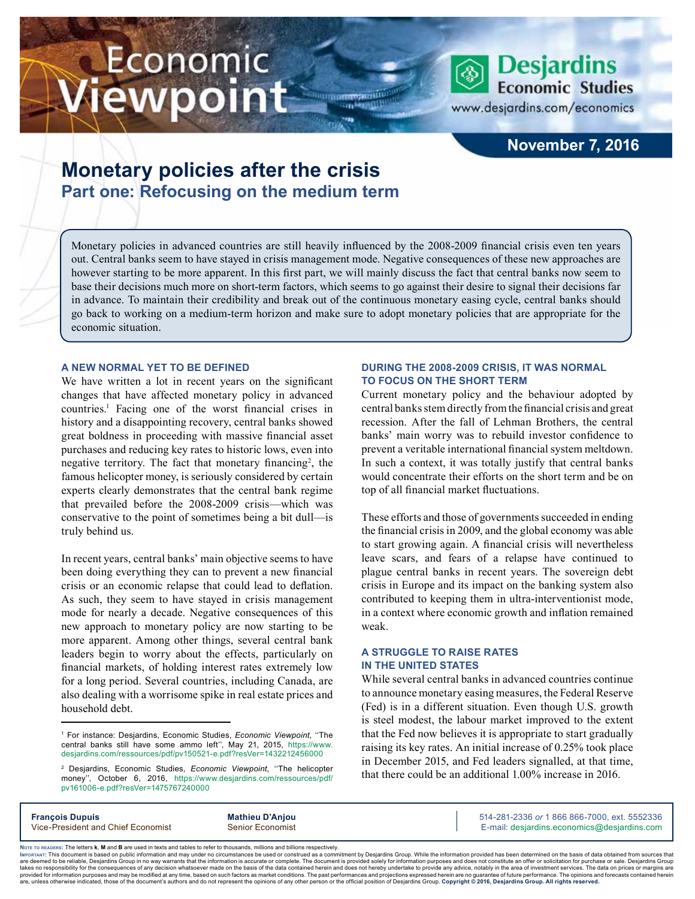# Economic iewpoint



www.desjardins.com/economics

### **November 7, 2016**

## **Monetary policies after the crisis Part one: Refocusing on the medium term**

Monetary policies in advanced countries are still heavily influenced by the 2008-2009 financial crisis even ten years out. Central banks seem to have stayed in crisis management mode. Negative consequences of these new approaches are however starting to be more apparent. In this first part, we will mainly discuss the fact that central banks now seem to base their decisions much more on short-term factors, which seems to go against their desire to signal their decisions far in advance. To maintain their credibility and break out of the continuous monetary easing cycle, central banks should go back to working on a medium-term horizon and make sure to adopt monetary policies that are appropriate for the economic situation.

#### **A NEW NORMAL YET TO BE DEFINED**

We have written a lot in recent years on the significant changes that have affected monetary policy in advanced countries.1 Facing one of the worst financial crises in history and a disappointing recovery, central banks showed great boldness in proceeding with massive financial asset purchases and reducing key rates to historic lows, even into negative territory. The fact that monetary financing<sup>2</sup>, the famous helicopter money, is seriously considered by certain experts clearly demonstrates that the central bank regime that prevailed before the 2008-2009 crisis—which was conservative to the point of sometimes being a bit dull—is truly behind us.

In recent years, central banks' main objective seems to have been doing everything they can to prevent a new financial crisis or an economic relapse that could lead to deflation. As such, they seem to have stayed in crisis management mode for nearly a decade. Negative consequences of this new approach to monetary policy are now starting to be more apparent. Among other things, several central bank leaders begin to worry about the effects, particularly on financial markets, of holding interest rates extremely low for a long period. Several countries, including Canada, are also dealing with a worrisome spike in real estate prices and household debt.

#### **DURING THE 2008-2009 CRISIS, IT WAS NORMAL TO FOCUS ON THE SHORT TERM**

Current monetary policy and the behaviour adopted by central banks stem directly from the financial crisis and great recession. After the fall of Lehman Brothers, the central banks' main worry was to rebuild investor confidence to prevent a veritable international financial system meltdown. In such a context, it was totally justify that central banks would concentrate their efforts on the short term and be on top of all financial market fluctuations.

These efforts and those of governments succeeded in ending the financial crisis in 2009, and the global economy was able to start growing again. A financial crisis will nevertheless leave scars, and fears of a relapse have continued to plague central banks in recent years. The sovereign debt crisis in Europe and its impact on the banking system also contributed to keeping them in ultra-interventionist mode, in a context where economic growth and inflation remained weak.

#### **A STRUGGLE TO RAISE RATES IN THE UNITED STATES**

While several central banks in advanced countries continue to announce monetary easing measures, the Federal Reserve (Fed) is in a different situation. Even though U.S. growth is steel modest, the labour market improved to the extent that the Fed now believes it is appropriate to start gradually raising its key rates. An initial increase of 0.25% took place in December 2015, and Fed leaders signalled, at that time, that there could be an additional 1.00% increase in 2016.

| <b>Francois Dupuis</b>             | <b>Mathieu D'Anjou</b>  | 514-281-2336 or 1 866 866-7000, ext. 5552336 |
|------------------------------------|-------------------------|----------------------------------------------|
| Vice-President and Chief Economist | <b>Senior Economist</b> | E-mail: desjardins.economics@desjardins.com  |

Noте то келоекs: The letters **k, M** and **B** are used in texts and tables to refer to thousands, millions and billions respectively.<br>Імроктлит: This document is based on public information and may under no circumstances be are deemed to be reliable. Desiardins Group in no way warrants that the information is accurate or complete. The document is provided solely for information purposes and does not constitute an offer or solicitation for pur takes no responsibility for the consequences of any decision whatsoever made on the basis of the data contained herein and does not hereby undertake to provide any advice, notably in the area of investment services. The da .<br>are, unless otherwise indicated, those of the document's authors and do not represent the opinions of any other person or the official position of Desjardins Group. Copyright @ 2016, Desjardins Group. All rights reserved

<sup>1</sup> For instance: Desjardins, Economic Studies, *Economic Viewpoint*, ''The central banks still have some ammo left'', May 21, 2015, [https://www.](https://www.desjardins.com/ressources/pdf/pv150521-e.pdf?resVer=1432212456000) [desjardins.com/ressources/pdf/pv150521-e.pdf?resVer=1432212456000](https://www.desjardins.com/ressources/pdf/pv150521-e.pdf?resVer=1432212456000)

<sup>2</sup> Desjardins, Economic Studies, *Economic Viewpoint*, ''The helicopter money'', October 6, 2016, [https://www.desjardins.com/ressources/pdf/](https://www.desjardins.com/ressources/pdf/pv161006-e.pdf?resVer=1475767240000) [pv161006-e.pdf?resVer=1475767240000](https://www.desjardins.com/ressources/pdf/pv161006-e.pdf?resVer=1475767240000)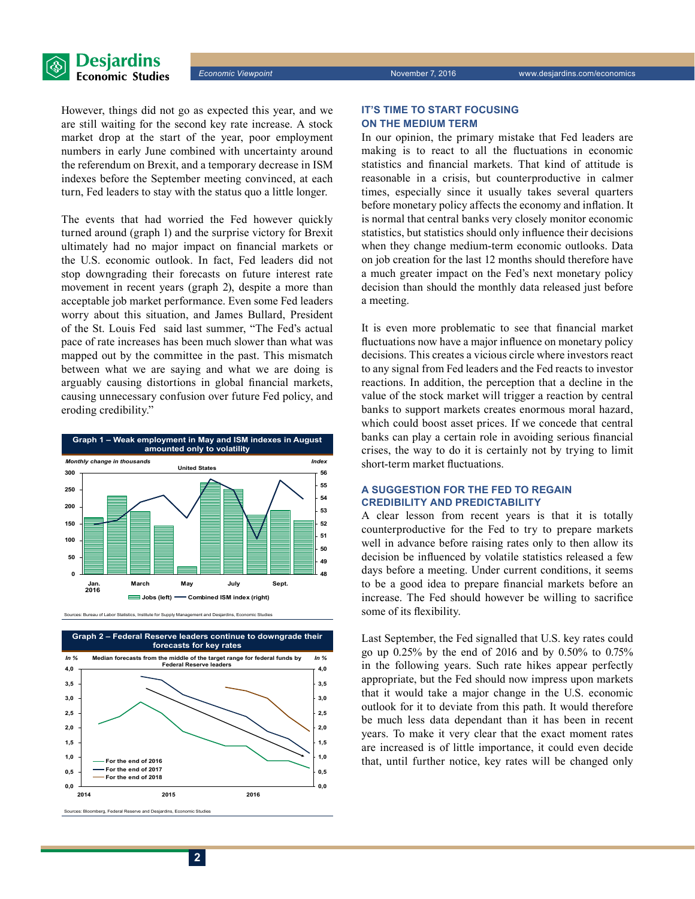

However, things did not go as expected this year, and we are still waiting for the second key rate increase. A stock market drop at the start of the year, poor employment numbers in early June combined with uncertainty around the referendum on Brexit, and a temporary decrease in ISM indexes before the September meeting convinced, at each turn, Fed leaders to stay with the status quo a little longer.

The events that had worried the Fed however quickly turned around (graph 1) and the surprise victory for Brexit ultimately had no major impact on financial markets or the U.S. economic outlook. In fact, Fed leaders did not stop downgrading their forecasts on future interest rate movement in recent years (graph 2), despite a more than acceptable job market performance. Even some Fed leaders worry about this situation, and James Bullard, President of the St. Louis Fed said last summer, "The Fed's actual pace of rate increases has been much slower than what was mapped out by the committee in the past. This mismatch between what we are saying and what we are doing is arguably causing distortions in global financial markets, causing unnecessary confusion over future Fed policy, and eroding credibility."



ces: Bureau of Labor Statistics, Institute for Supply Management and Desjardins, Economic Studie



rg, Federal Reserve and Des

#### **IT'S TIME TO START FOCUSING ON THE MEDIUM TERM**

In our opinion, the primary mistake that Fed leaders are making is to react to all the fluctuations in economic statistics and financial markets. That kind of attitude is reasonable in a crisis, but counterproductive in calmer times, especially since it usually takes several quarters before monetary policy affects the economy and inflation. It is normal that central banks very closely monitor economic statistics, but statistics should only influence their decisions when they change medium-term economic outlooks. Data on job creation for the last 12 months should therefore have a much greater impact on the Fed's next monetary policy decision than should the monthly data released just before a meeting.

It is even more problematic to see that financial market fluctuations now have a major influence on monetary policy decisions. This creates a vicious circle where investors react to any signal from Fed leaders and the Fed reacts to investor reactions. In addition, the perception that a decline in the value of the stock market will trigger a reaction by central banks to support markets creates enormous moral hazard, which could boost asset prices. If we concede that central banks can play a certain role in avoiding serious financial crises, the way to do it is certainly not by trying to limit short-term market fluctuations.

#### **A SUGGESTION FOR THE FED TO REGAIN CREDIBILITY AND PREDICTABILITY**

A clear lesson from recent years is that it is totally counterproductive for the Fed to try to prepare markets well in advance before raising rates only to then allow its decision be influenced by volatile statistics released a few days before a meeting. Under current conditions, it seems to be a good idea to prepare financial markets before an increase. The Fed should however be willing to sacrifice some of its flexibility.

Last September, the Fed signalled that U.S. key rates could go up 0.25% by the end of 2016 and by 0.50% to 0.75% in the following years. Such rate hikes appear perfectly appropriate, but the Fed should now impress upon markets that it would take a major change in the U.S. economic outlook for it to deviate from this path. It would therefore be much less data dependant than it has been in recent years. To make it very clear that the exact moment rates are increased is of little importance, it could even decide that, until further notice, key rates will be changed only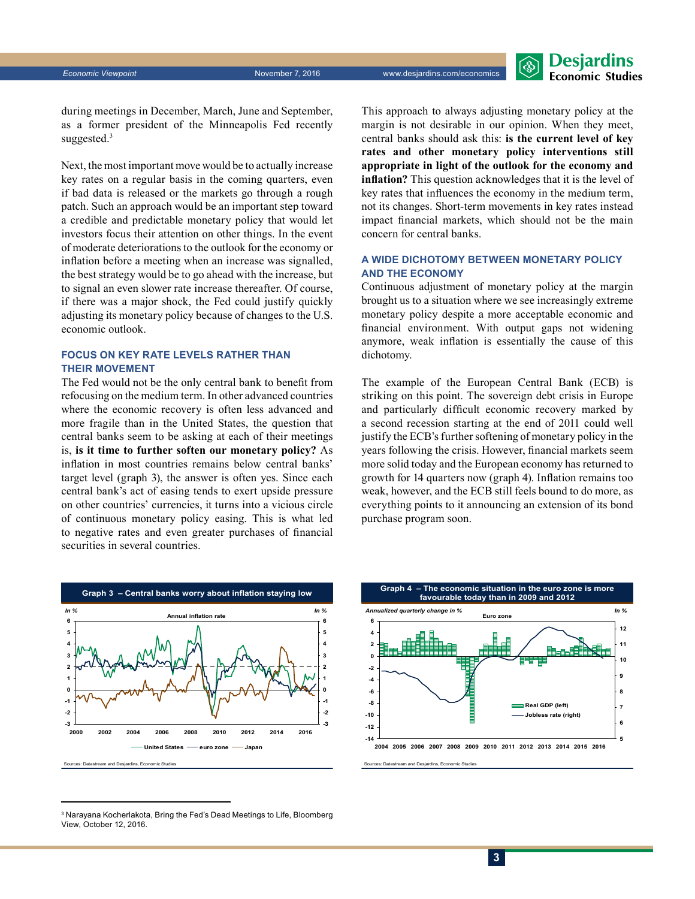**Desjardins Economic Studies** 

during meetings in December, March, June and September, as a former president of the Minneapolis Fed recently suggested.<sup>3</sup>

Next, the most important move would be to actually increase key rates on a regular basis in the coming quarters, even if bad data is released or the markets go through a rough patch. Such an approach would be an important step toward a credible and predictable monetary policy that would let investors focus their attention on other things. In the event of moderate deteriorations to the outlook for the economy or inflation before a meeting when an increase was signalled, the best strategy would be to go ahead with the increase, but to signal an even slower rate increase thereafter. Of course, if there was a major shock, the Fed could justify quickly adjusting its monetary policy because of changes to the U.S. economic outlook.

#### **FOCUS ON KEY RATE LEVELS RATHER THAN THEIR MOVEMENT**

The Fed would not be the only central bank to benefit from refocusing on the medium term. In other advanced countries where the economic recovery is often less advanced and more fragile than in the United States, the question that central banks seem to be asking at each of their meetings is, **is it time to further soften our monetary policy?** As inflation in most countries remains below central banks' target level (graph 3), the answer is often yes. Since each central bank's act of easing tends to exert upside pressure on other countries' currencies, it turns into a vicious circle of continuous monetary policy easing. This is what led to negative rates and even greater purchases of financial securities in several countries.

This approach to always adjusting monetary policy at the margin is not desirable in our opinion. When they meet, central banks should ask this: **is the current level of key rates and other monetary policy interventions still appropriate in light of the outlook for the economy and inflation?** This question acknowledges that it is the level of key rates that influences the economy in the medium term, not its changes. Short-term movements in key rates instead impact financial markets, which should not be the main concern for central banks.

#### **A WIDE DICHOTOMY BETWEEN MONETARY POLICY AND THE ECONOMY**

Continuous adjustment of monetary policy at the margin brought us to a situation where we see increasingly extreme monetary policy despite a more acceptable economic and financial environment. With output gaps not widening anymore, weak inflation is essentially the cause of this dichotomy.

The example of the European Central Bank (ECB) is striking on this point. The sovereign debt crisis in Europe and particularly difficult economic recovery marked by a second recession starting at the end of 2011 could well justify the ECB's further softening of monetary policy in the years following the crisis. However, financial markets seem more solid today and the European economy has returned to growth for 14 quarters now (graph 4). Inflation remains too weak, however, and the ECB still feels bound to do more, as everything points to it announcing an extension of its bond purchase program soon.





 $^{\rm 3}$  Narayana Kocherlakota, Bring the Fed's Dead Meetings to Life, Bloomberg View, October 12, 2016.